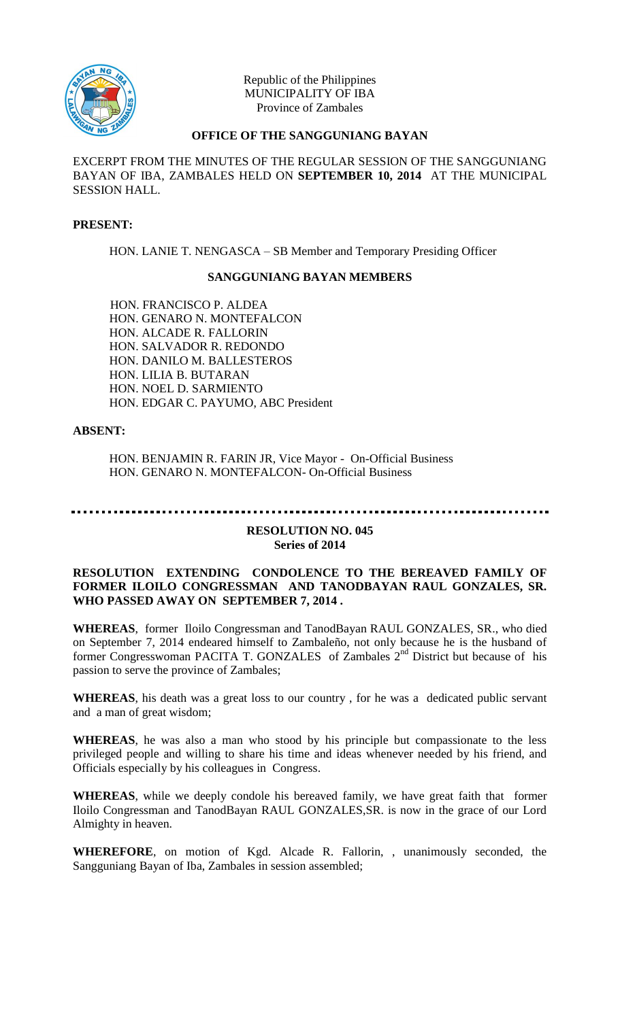

Republic of the Philippines MUNICIPALITY OF IBA Province of Zambales

## **OFFICE OF THE SANGGUNIANG BAYAN**

EXCERPT FROM THE MINUTES OF THE REGULAR SESSION OF THE SANGGUNIANG BAYAN OF IBA, ZAMBALES HELD ON **SEPTEMBER 10, 2014** AT THE MUNICIPAL SESSION HALL.

## **PRESENT:**

HON. LANIE T. NENGASCA – SB Member and Temporary Presiding Officer

## **SANGGUNIANG BAYAN MEMBERS**

HON. FRANCISCO P. ALDEA HON. GENARO N. MONTEFALCON HON. ALCADE R. FALLORIN HON. SALVADOR R. REDONDO HON. DANILO M. BALLESTEROS HON. LILIA B. BUTARAN HON. NOEL D. SARMIENTO HON. EDGAR C. PAYUMO, ABC President

#### **ABSENT:**

HON. BENJAMIN R. FARIN JR, Vice Mayor - On-Official Business HON. GENARO N. MONTEFALCON- On-Official Business

# **RESOLUTION NO. 045 Series of 2014**

## **RESOLUTION EXTENDING CONDOLENCE TO THE BEREAVED FAMILY OF FORMER ILOILO CONGRESSMAN AND TANODBAYAN RAUL GONZALES, SR. WHO PASSED AWAY ON SEPTEMBER 7, 2014 .**

**WHEREAS**, former Iloilo Congressman and TanodBayan RAUL GONZALES, SR., who died on September 7, 2014 endeared himself to Zambaleño, not only because he is the husband of former Congresswoman PACITA T. GONZALES of Zambales 2<sup>nd</sup> District but because of his passion to serve the province of Zambales;

**WHEREAS**, his death was a great loss to our country , for he was a dedicated public servant and a man of great wisdom;

**WHEREAS**, he was also a man who stood by his principle but compassionate to the less privileged people and willing to share his time and ideas whenever needed by his friend, and Officials especially by his colleagues in Congress.

**WHEREAS**, while we deeply condole his bereaved family, we have great faith that former Iloilo Congressman and TanodBayan RAUL GONZALES,SR. is now in the grace of our Lord Almighty in heaven.

**WHEREFORE**, on motion of Kgd. Alcade R. Fallorin, , unanimously seconded, the Sangguniang Bayan of Iba, Zambales in session assembled;